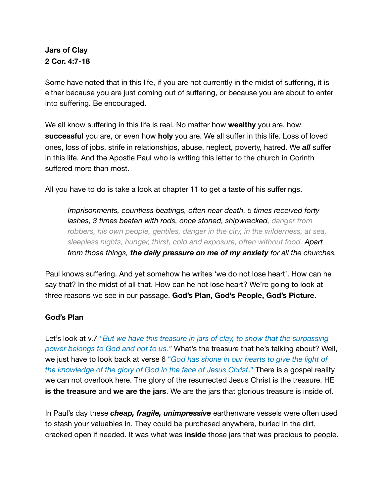# **Jars of Clay 2 Cor. 4:7-18**

Some have noted that in this life, if you are not currently in the midst of suffering, it is either because you are just coming out of suffering, or because you are about to enter into suffering. Be encouraged.

We all know suffering in this life is real. No matter how **wealthy** you are, how **successful** you are, or even how **holy** you are. We all suffer in this life. Loss of loved ones, loss of jobs, strife in relationships, abuse, neglect, poverty, hatred. We *all* suffer in this life. And the Apostle Paul who is writing this letter to the church in Corinth suffered more than most.

All you have to do is take a look at chapter 11 to get a taste of his sufferings.

*Imprisonments, countless beatings, often near death. 5 times received forty lashes, 3 times beaten with rods, once stoned, shipwrecked, danger from*  robbers, his own people, gentiles, danger in the city, in the wilderness, at sea, *sleepless nights, hunger, thirst, cold and exposure, often without food. Apart from those things, the daily pressure on me of my anxiety for all the churches.* 

Paul knows suffering. And yet somehow he writes 'we do not lose heart'. How can he say that? In the midst of all that. How can he not lose heart? We're going to look at three reasons we see in our passage. **God's Plan, God's People, God's Picture**.

## **God's Plan**

Let's look at v.7 *"But we have this treasure in jars of clay, to show that the surpassing power belongs to God and not to us."* What's the treasure that he's talking about? Well, we just have to look back at verse 6 "*God has shone in our hearts to give the light of the knowledge of the glory of God in the face of Jesus Christ*." There is a gospel reality we can not overlook here. The glory of the resurrected Jesus Christ is the treasure. HE **is the treasure** and **we are the jars**. We are the jars that glorious treasure is inside of.

In Paul's day these *cheap, fragile, unimpressive* earthenware vessels were often used to stash your valuables in. They could be purchased anywhere, buried in the dirt, cracked open if needed. It was what was **inside** those jars that was precious to people.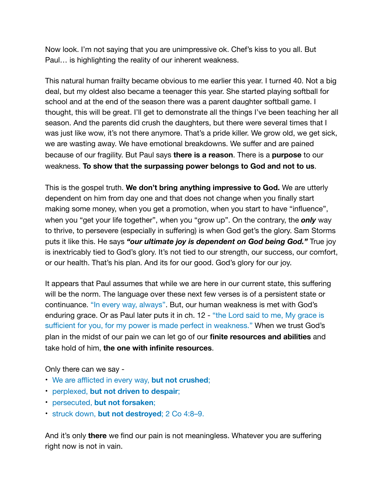Now look. I'm not saying that you are unimpressive ok. Chef's kiss to you all. But Paul… is highlighting the reality of our inherent weakness.

This natural human frailty became obvious to me earlier this year. I turned 40. Not a big deal, but my oldest also became a teenager this year. She started playing softball for school and at the end of the season there was a parent daughter softball game. I thought, this will be great. I'll get to demonstrate all the things I've been teaching her all season. And the parents did crush the daughters, but there were several times that I was just like wow, it's not there anymore. That's a pride killer. We grow old, we get sick, we are wasting away. We have emotional breakdowns. We suffer and are pained because of our fragility. But Paul says **there is a reason**. There is a **purpose** to our weakness. **To show that the surpassing power belongs to God and not to us**.

This is the gospel truth. **We don't bring anything impressive to God.** We are utterly dependent on him from day one and that does not change when you finally start making some money, when you get a promotion, when you start to have "influence", when you "get your life together", when you "grow up". On the contrary, the *only* way to thrive, to persevere (especially in suffering) is when God get's the glory. Sam Storms puts it like this. He says *"our ultimate joy is dependent on God being God."* True joy is inextricably tied to God's glory. It's not tied to our strength, our success, our comfort, or our health. That's his plan. And its for our good. God's glory for our joy.

It appears that Paul assumes that while we are here in our current state, this suffering will be the norm. The language over these next few verses is of a persistent state or continuance. "In every way, always". But, our human weakness is met with God's enduring grace. Or as Paul later puts it in ch. 12 - "the Lord said to me, My grace is sufficient for you, for my power is made perfect in weakness." When we trust God's plan in the midst of our pain we can let go of our **finite resources and abilities** and take hold of him, **the one with infinite resources**.

Only there can we say -

- We are afflicted in every way, **but not crushed**;
- perplexed, **but not driven to despair**;
- persecuted, **but not forsaken**;
- struck down, **but not destroyed**; 2 Co 4:8–9.

And it's only **there** we find our pain is not meaningless. Whatever you are suffering right now is not in vain.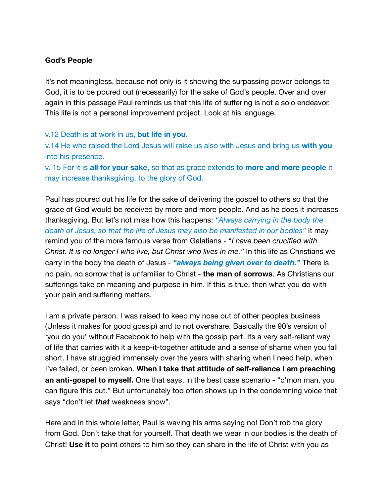### **God's People**

It's not meaningless, because not only is it showing the surpassing power belongs to God, it is to be poured out (necessarily) for the sake of God's people. Over and over again in this passage Paul reminds us that this life of suffering is not a solo endeavor. This life is not a personal improvement project. Look at his language.

#### v.12 Death is at work in us, **but life in you**.

v.14 He who raised the Lord Jesus will raise us also with Jesus and bring us **with you** into his presence.

v. 15 For it is **all for your sake**, so that as grace extends to **more and more people** it may increase thanksgiving, to the glory of God.

Paul has poured out his life for the sake of delivering the gospel to others so that the grace of God would be received by more and more people. And as he does it increases thanksgiving. But let's not miss how this happens: *"Always carrying in the body the death of Jesus, so that the life of Jesus may also be manifested in our bodies"* It may remind you of the more famous verse from Galatians - "*I have been crucified with Christ. It is no longer I who live, but Christ who lives in me."* In this life as Christians we carry in the body the death of Jesus - *"always being given over to death."* There is no pain, no sorrow that is unfamiliar to Christ - **the man of sorrows**. As Christians our sufferings take on meaning and purpose in him. If this is true, then what you do with your pain and suffering matters.

I am a private person. I was raised to keep my nose out of other peoples business (Unless it makes for good gossip) and to not overshare. Basically the 90's version of 'you do you' without Facebook to help with the gossip part. Its a very self-reliant way of life that carries with it a keep-it-together attitude and a sense of shame when you fall short. I have struggled immensely over the years with sharing when I need help, when I've failed, or been broken. **When I take that attitude of self-reliance I am preaching an anti-gospel to myself.** One that says, in the best case scenario - "c'mon man, you can figure this out." But unfortunately too often shows up in the condemning voice that says "don't let *that* weakness show".

Here and in this whole letter, Paul is waving his arms saying no! Don't rob the glory from God. Don't take that for yourself. That death we wear in our bodies is the death of Christ! **Use it** to point others to him so they can share in the life of Christ with you as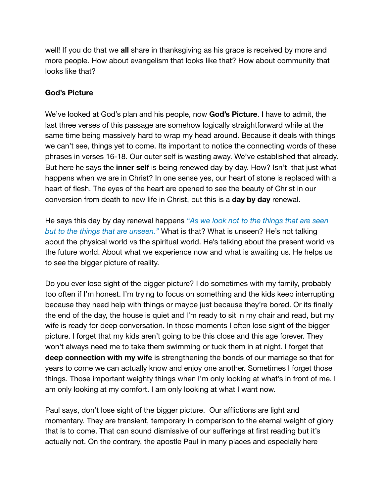well! If you do that we **all** share in thanksgiving as his grace is received by more and more people. How about evangelism that looks like that? How about community that looks like that?

### **God's Picture**

We've looked at God's plan and his people, now **God's Picture**. I have to admit, the last three verses of this passage are somehow logically straightforward while at the same time being massively hard to wrap my head around. Because it deals with things we can't see, things yet to come. Its important to notice the connecting words of these phrases in verses 16-18. Our outer self is wasting away. We've established that already. But here he says the **inner self** is being renewed day by day. How? Isn't that just what happens when we are in Christ? In one sense yes, our heart of stone is replaced with a heart of flesh. The eyes of the heart are opened to see the beauty of Christ in our conversion from death to new life in Christ, but this is a **day by day** renewal.

He says this day by day renewal happens *"As we look not to the things that are seen but to the things that are unseen."* What is that? What is unseen? He's not talking about the physical world vs the spiritual world. He's talking about the present world vs the future world. About what we experience now and what is awaiting us. He helps us to see the bigger picture of reality.

Do you ever lose sight of the bigger picture? I do sometimes with my family, probably too often if I'm honest. I'm trying to focus on something and the kids keep interrupting because they need help with things or maybe just because they're bored. Or its finally the end of the day, the house is quiet and I'm ready to sit in my chair and read, but my wife is ready for deep conversation. In those moments I often lose sight of the bigger picture. I forget that my kids aren't going to be this close and this age forever. They won't always need me to take them swimming or tuck them in at night. I forget that **deep connection with my wife** is strengthening the bonds of our marriage so that for years to come we can actually know and enjoy one another. Sometimes I forget those things. Those important weighty things when I'm only looking at what's in front of me. I am only looking at my comfort. I am only looking at what I want now.

Paul says, don't lose sight of the bigger picture. Our afflictions are light and momentary. They are transient, temporary in comparison to the eternal weight of glory that is to come. That can sound dismissive of our sufferings at first reading but it's actually not. On the contrary, the apostle Paul in many places and especially here